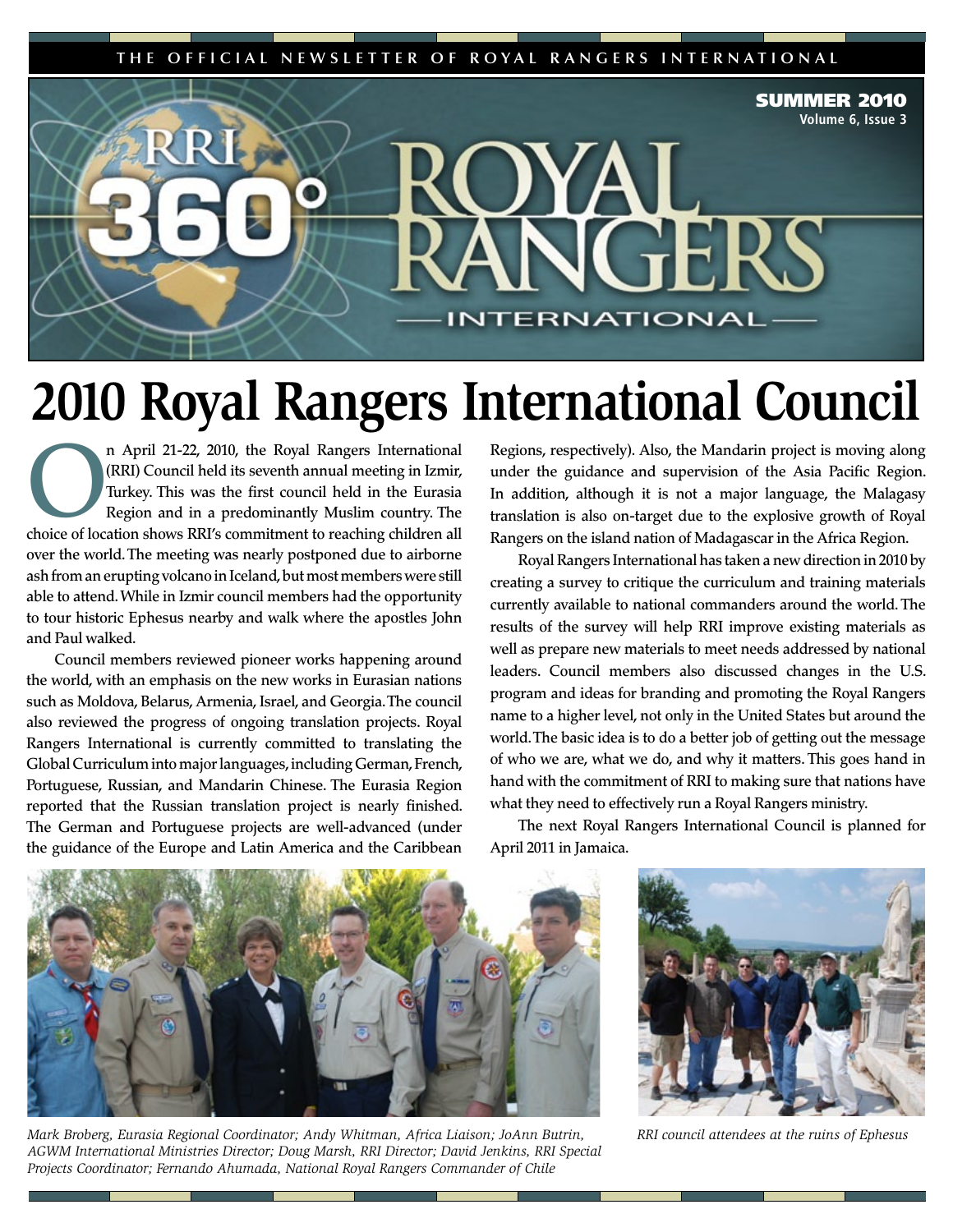THE OFFICIAL NEWSLETTER OF ROYAL RANGERS INTERNATIONAL



## **2010 Royal Rangers International Council**

n April 21-22, 2010, the Royal Rangers International (RRI) Council held its seventh annual meeting in Izmir, Turkey. This was the first council held in the Eurasia Region and in a predominantly Muslim country. The choice o (RRI) Council held its seventh annual meeting in Izmir, Turkey. This was the first council held in the Eurasia Region and in a predominantly Muslim country. The choice of location shows RRI's commitment to reaching children all over the world. The meeting was nearly postponed due to airborne ash from an erupting volcano in Iceland, but most members were still able to attend. While in Izmir council members had the opportunity to tour historic Ephesus nearby and walk where the apostles John and Paul walked.

Council members reviewed pioneer works happening around the world, with an emphasis on the new works in Eurasian nations such as Moldova, Belarus, Armenia, Israel, and Georgia. The council also reviewed the progress of ongoing translation projects. Royal Rangers International is currently committed to translating the Global Curriculum into major languages, including German, French, Portuguese, Russian, and Mandarin Chinese. The Eurasia Region reported that the Russian translation project is nearly finished. The German and Portuguese projects are well-advanced (under the guidance of the Europe and Latin America and the Caribbean

Regions, respectively). Also, the Mandarin project is moving along under the guidance and supervision of the Asia Pacific Region. In addition, although it is not a major language, the Malagasy translation is also on-target due to the explosive growth of Royal Rangers on the island nation of Madagascar in the Africa Region.

Royal Rangers International has taken a new direction in 2010 by creating a survey to critique the curriculum and training materials currently available to national commanders around the world. The results of the survey will help RRI improve existing materials as well as prepare new materials to meet needs addressed by national leaders. Council members also discussed changes in the U.S. program and ideas for branding and promoting the Royal Rangers name to a higher level, not only in the United States but around the world. The basic idea is to do a better job of getting out the message of who we are, what we do, and why it matters. This goes hand in hand with the commitment of RRI to making sure that nations have what they need to effectively run a Royal Rangers ministry.

The next Royal Rangers International Council is planned for April 2011 in Jamaica.



*Mark Broberg, Eurasia Regional Coordinator; Andy Whitman, Africa Liaison; JoAnn Butrin, AGWM International Ministries Director; Doug Marsh, RRI Director; David Jenkins, RRI Special Projects Coordinator; Fernando Ahumada, National Royal Rangers Commander of Chile*



*RRI council attendees at the ruins of Ephesus*